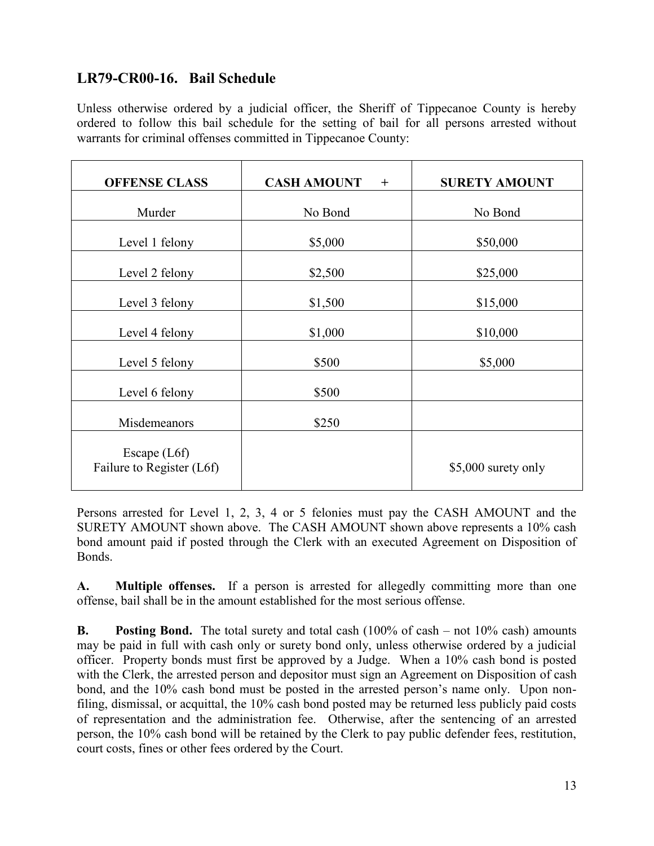## **LR79-CR00-16. Bail Schedule**

Unless otherwise ordered by a judicial officer, the Sheriff of Tippecanoe County is hereby ordered to follow this bail schedule for the setting of bail for all persons arrested without warrants for criminal offenses committed in Tippecanoe County:

| <b>OFFENSE CLASS</b>                        | <b>CASH AMOUNT</b><br>$+$ | <b>SURETY AMOUNT</b> |
|---------------------------------------------|---------------------------|----------------------|
| Murder                                      | No Bond                   | No Bond              |
| Level 1 felony                              | \$5,000                   | \$50,000             |
| Level 2 felony                              | \$2,500                   | \$25,000             |
| Level 3 felony                              | \$1,500                   | \$15,000             |
| Level 4 felony                              | \$1,000                   | \$10,000             |
| Level 5 felony                              | \$500                     | \$5,000              |
| Level 6 felony                              | \$500                     |                      |
| Misdemeanors                                | \$250                     |                      |
| Escape $(L6f)$<br>Failure to Register (L6f) |                           | \$5,000 surety only  |

Persons arrested for Level 1, 2, 3, 4 or 5 felonies must pay the CASH AMOUNT and the SURETY AMOUNT shown above. The CASH AMOUNT shown above represents a 10% cash bond amount paid if posted through the Clerk with an executed Agreement on Disposition of Bonds.

**A. Multiple offenses.** If a person is arrested for allegedly committing more than one offense, bail shall be in the amount established for the most serious offense.

**B. Posting Bond.** The total surety and total cash (100% of cash – not 10% cash) amounts may be paid in full with cash only or surety bond only, unless otherwise ordered by a judicial officer. Property bonds must first be approved by a Judge. When a 10% cash bond is posted with the Clerk, the arrested person and depositor must sign an Agreement on Disposition of cash bond, and the 10% cash bond must be posted in the arrested person's name only. Upon nonfiling, dismissal, or acquittal, the 10% cash bond posted may be returned less publicly paid costs of representation and the administration fee. Otherwise, after the sentencing of an arrested person, the 10% cash bond will be retained by the Clerk to pay public defender fees, restitution, court costs, fines or other fees ordered by the Court.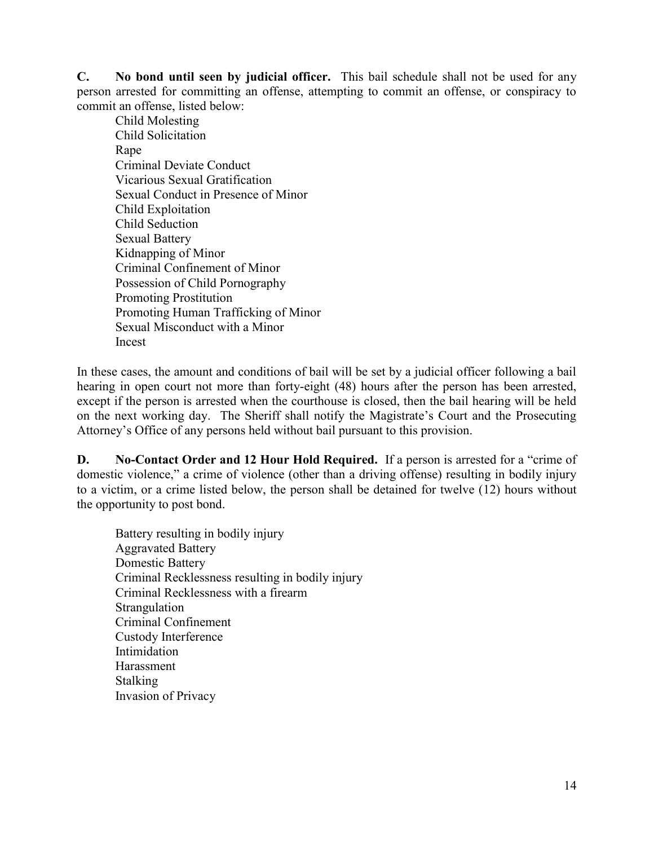**C. No bond until seen by judicial officer.** This bail schedule shall not be used for any person arrested for committing an offense, attempting to commit an offense, or conspiracy to commit an offense, listed below:

Child Molesting Child Solicitation Rape Criminal Deviate Conduct Vicarious Sexual Gratification Sexual Conduct in Presence of Minor Child Exploitation Child Seduction Sexual Battery Kidnapping of Minor Criminal Confinement of Minor Possession of Child Pornography Promoting Prostitution Promoting Human Trafficking of Minor Sexual Misconduct with a Minor Incest

In these cases, the amount and conditions of bail will be set by a judicial officer following a bail hearing in open court not more than forty-eight (48) hours after the person has been arrested, except if the person is arrested when the courthouse is closed, then the bail hearing will be held on the next working day. The Sheriff shall notify the Magistrate's Court and the Prosecuting Attorney's Office of any persons held without bail pursuant to this provision.

**D. No-Contact Order and 12 Hour Hold Required.** If a person is arrested for a "crime of domestic violence," a crime of violence (other than a driving offense) resulting in bodily injury to a victim, or a crime listed below, the person shall be detained for twelve (12) hours without the opportunity to post bond.

Battery resulting in bodily injury Aggravated Battery Domestic Battery Criminal Recklessness resulting in bodily injury Criminal Recklessness with a firearm **Strangulation** Criminal Confinement Custody Interference Intimidation Harassment Stalking Invasion of Privacy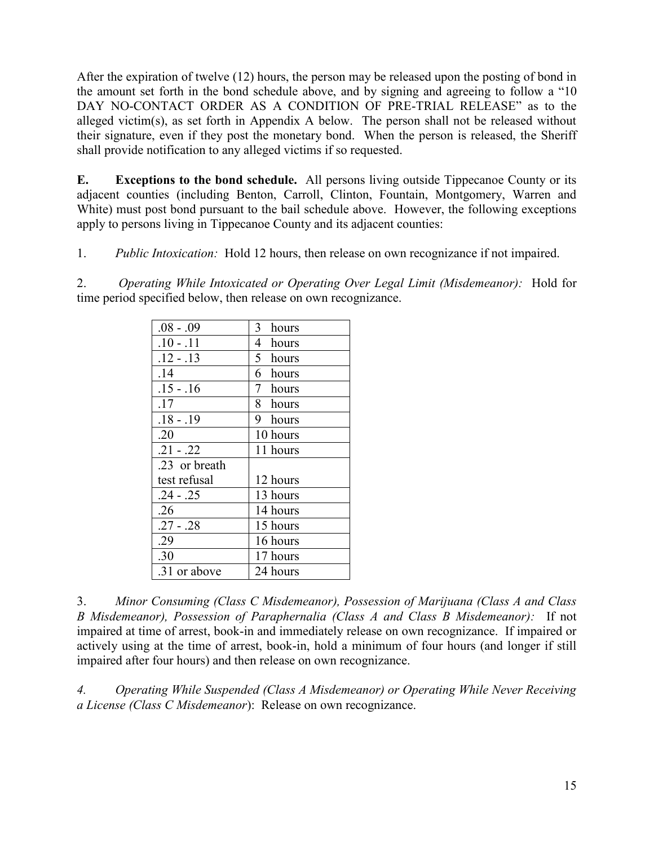After the expiration of twelve (12) hours, the person may be released upon the posting of bond in the amount set forth in the bond schedule above, and by signing and agreeing to follow a "10 DAY NO-CONTACT ORDER AS A CONDITION OF PRE-TRIAL RELEASE" as to the alleged victim(s), as set forth in Appendix A below. The person shall not be released without their signature, even if they post the monetary bond. When the person is released, the Sheriff shall provide notification to any alleged victims if so requested.

**E. Exceptions to the bond schedule.** All persons living outside Tippecanoe County or its adjacent counties (including Benton, Carroll, Clinton, Fountain, Montgomery, Warren and White) must post bond pursuant to the bail schedule above. However, the following exceptions apply to persons living in Tippecanoe County and its adjacent counties:

1. *Public Intoxication:*Hold 12 hours, then release on own recognizance if not impaired.

2. *Operating While Intoxicated or Operating Over Legal Limit (Misdemeanor):* Hold for time period specified below, then release on own recognizance.

| $.08 - .09$   | 3 <sup>1</sup><br>hours  |  |
|---------------|--------------------------|--|
| $.10 - .11$   | 4<br>hours               |  |
| $.12 - .13$   | 5<br>hours               |  |
| .14           | 6 hours                  |  |
| $.15 - .16$   | $7\overline{ }$<br>hours |  |
| .17           | 8 hours                  |  |
| $.18 - .19$   | 9 hours                  |  |
| .20           | 10 hours                 |  |
| $.21 - .22$   | 11 hours                 |  |
| .23 or breath |                          |  |
| test refusal  | 12 hours                 |  |
| $.24 - .25$   | 13 hours                 |  |
| .26           | 14 hours                 |  |
| $.27 - .28$   | 15 hours                 |  |
| .29           | 16 hours                 |  |
| .30           | 17 hours                 |  |
| .31 or above  | 24 hours                 |  |

3. *Minor Consuming (Class C Misdemeanor), Possession of Marijuana (Class A and Class B Misdemeanor), Possession of Paraphernalia (Class A and Class B Misdemeanor):* If not impaired at time of arrest, book-in and immediately release on own recognizance. If impaired or actively using at the time of arrest, book-in, hold a minimum of four hours (and longer if still impaired after four hours) and then release on own recognizance.

*4. Operating While Suspended (Class A Misdemeanor) or Operating While Never Receiving a License (Class C Misdemeanor*): Release on own recognizance.